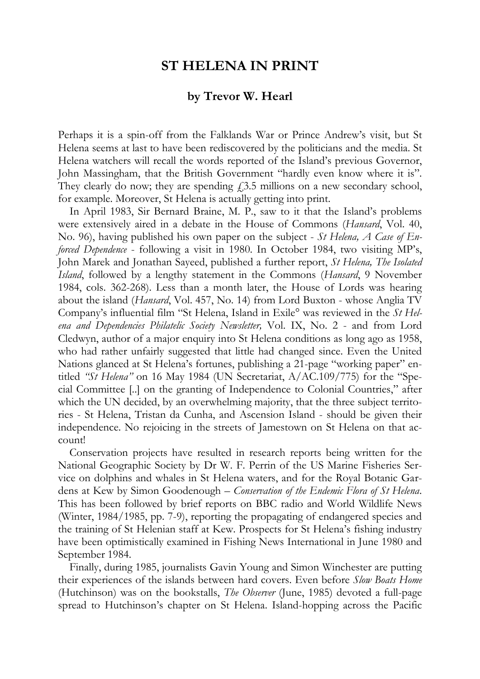## **ST HELENA IN PRINT**

## **by Trevor W. Hearl**

Perhaps it is a spin-off from the Falklands War or Prince Andrew's visit, but St Helena seems at last to have been rediscovered by the politicians and the media. St Helena watchers will recall the words reported of the Island's previous Governor, John Massingham, that the British Government "hardly even know where it is". They clearly do now; they are spending  $f(3.5)$  millions on a new secondary school, for example. Moreover, St Helena is actually getting into print.

In April 1983, Sir Bernard Braine, M. P., saw to it that the Island's problems were extensively aired in a debate in the House of Commons (*Hansard*, Vol. 40, No. 96), having published his own paper on the subject - *St Helena, A Case of Enforced Dependence* - following a visit in 1980. In October 1984, two visiting MP's, John Marek and Jonathan Sayeed, published a further report, *St Helena, The Isolated Island*, followed by a lengthy statement in the Commons (*Hansard*, 9 November 1984, cols. 362-268). Less than a month later, the House of Lords was hearing about the island (*Hansard*, Vol. 457, No. 14) from Lord Buxton - whose Anglia TV Company's influential film "St Helena, Island in Exile° was reviewed in the *St Helena and Dependencies Philatelic Society Newsletter,* Vol. IX, No. 2 - and from Lord Cledwyn, author of a major enquiry into St Helena conditions as long ago as 1958, who had rather unfairly suggested that little had changed since. Even the United Nations glanced at St Helena's fortunes, publishing a 21-page "working paper" entitled *"St Helena"* on 16 May 1984 (UN Secretariat, A/AC.109/775) for the "Special Committee [..] on the granting of Independence to Colonial Countries," after which the UN decided, by an overwhelming majority, that the three subject territories - St Helena, Tristan da Cunha, and Ascension Island - should be given their independence. No rejoicing in the streets of Jamestown on St Helena on that account!

Conservation projects have resulted in research reports being written for the National Geographic Society by Dr W. F. Perrin of the US Marine Fisheries Service on dolphins and whales in St Helena waters, and for the Royal Botanic Gardens at Kew by Simon Goodenough – *Conservation of the Endemic Flora of St Helena*. This has been followed by brief reports on BBC radio and World Wildlife News (Winter, 1984/1985, pp. 7-9), reporting the propagating of endangered species and the training of St Helenian staff at Kew. Prospects for St Helena's fishing industry have been optimistically examined in Fishing News International in June 1980 and September 1984.

Finally, during 1985, journalists Gavin Young and Simon Winchester are putting their experiences of the islands between hard covers. Even before *Slow Boats Home* (Hutchinson) was on the bookstalls, *The Observer* (June, 1985) devoted a full-page spread to Hutchinson's chapter on St Helena. Island-hopping across the Pacific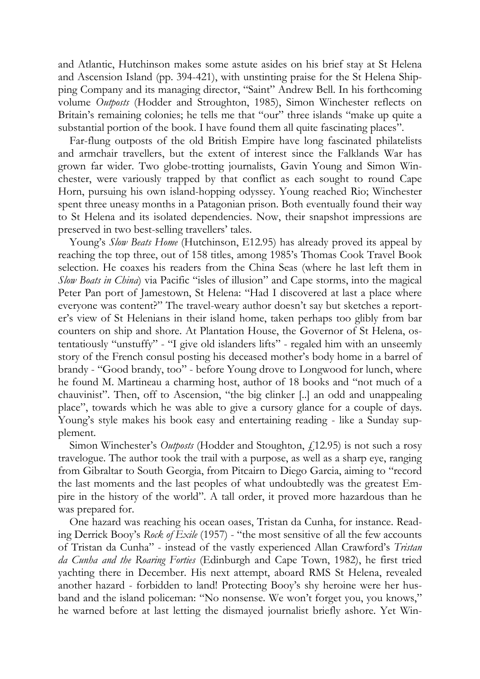and Atlantic, Hutchinson makes some astute asides on his brief stay at St Helena and Ascension Island (pp. 394-421), with unstinting praise for the St Helena Shipping Company and its managing director, "Saint" Andrew Bell. In his forthcoming volume *Outposts* (Hodder and Stroughton, 1985), Simon Winchester reflects on Britain's remaining colonies; he tells me that "our" three islands "make up quite a substantial portion of the book. I have found them all quite fascinating places".

Far-flung outposts of the old British Empire have long fascinated philatelists and armchair travellers, but the extent of interest since the Falklands War has grown far wider. Two globe-trotting journalists, Gavin Young and Simon Winchester, were variously trapped by that conflict as each sought to round Cape Horn, pursuing his own island-hopping odyssey. Young reached Rio; Winchester spent three uneasy months in a Patagonian prison. Both eventually found their way to St Helena and its isolated dependencies. Now, their snapshot impressions are preserved in two best-selling travellers' tales.

Young's *Slow Beats Home* (Hutchinson, E12.95) has already proved its appeal by reaching the top three, out of 158 titles, among 1985's Thomas Cook Travel Book selection. He coaxes his readers from the China Seas (where he last left them in *Slow Boats in China*) via Pacific "isles of illusion" and Cape storms, into the magical Peter Pan port of Jamestown, St Helena: "Had I discovered at last a place where everyone was content?" The travel-weary author doesn't say but sketches a reporter's view of St Helenians in their island home, taken perhaps too glibly from bar counters on ship and shore. At Plantation House, the Governor of St Helena, ostentatiously "unstuffy" - "I give old islanders lifts" - regaled him with an unseemly story of the French consul posting his deceased mother's body home in a barrel of brandy - "Good brandy, too" - before Young drove to Longwood for lunch, where he found M. Martineau a charming host, author of 18 books and "not much of a chauvinist". Then, off to Ascension, "the big clinker [..] an odd and unappealing place", towards which he was able to give a cursory glance for a couple of days. Young's style makes his book easy and entertaining reading - like a Sunday supplement.

Simon Winchester's *Outposts* (Hodder and Stoughton,  $\ell$ 12.95) is not such a rosy travelogue. The author took the trail with a purpose, as well as a sharp eye, ranging from Gibraltar to South Georgia, from Pitcairn to Diego Garcia, aiming to "record the last moments and the last peoples of what undoubtedly was the greatest Empire in the history of the world". A tall order, it proved more hazardous than he was prepared for.

One hazard was reaching his ocean oases, Tristan da Cunha, for instance. Reading Derrick Booy's *Rock of Exile* (1957) - "the most sensitive of all the few accounts of Tristan da Cunha" - instead of the vastly experienced Allan Crawford's *Tristan da Cunha and the Roaring Forties* (Edinburgh and Cape Town, 1982), he first tried yachting there in December. His next attempt, aboard RMS St Helena, revealed another hazard - forbidden to land! Protecting Booy's shy heroine were her husband and the island policeman: "No nonsense. We won't forget you, you knows," he warned before at last letting the dismayed journalist briefly ashore. Yet Win